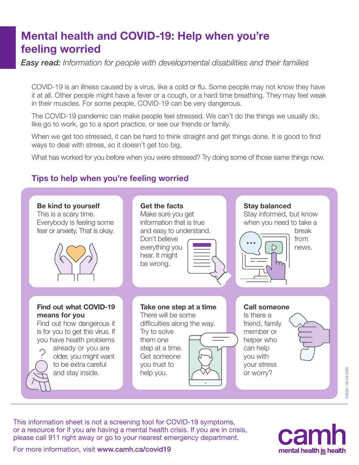# Mental health and COVID-19: Help when you're feeling worried

*Easy read: Information for people with developmental disabilities and their families*

COVID-19 is an illness caused by a virus, like a cold or flu. Some people may not know they have it at all. Other people might have a fever or a cough, or a hard time breathing. They may feel weak in their muscles. For some people, COVID-19 can be very dangerous.

The COVID-19 pandemic can make people feel stressed. We can't do the things we usually do, like go to work, go to a sport practice, or see our friends or family.

When we get too stressed, it can be hard to think straight and get things done. It is good to find ways to deal with stress, so it doesn't get too big.

What has worked for you before when you were stressed? Try doing some of those same things now.

### Tips to help when you're feeling worried



This information sheet is not a screening tool for COVID-19 symptoms, or a resource for if you are having a mental health crisis. If you are in crisis, please call 911 right away or go to your nearest emergency department.



CV02b / 05-04-2020

For more information, visit [www.camh.ca/covid19](http://www.camh.ca/covid19)